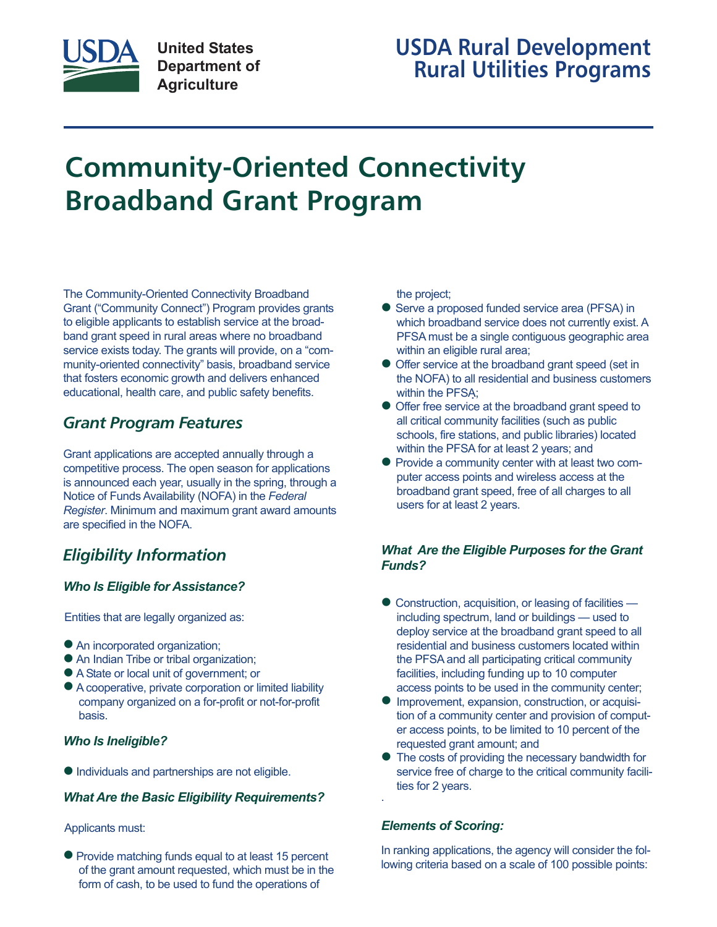

## **USDA Rural Development Rural Utilities Programs**

# **Community-Oriented Connectivity Broadband Grant Program**

The Community-Oriented Connectivity Broadband Grant ("Community Connect") Program provides grants to eligible applicants to establish service at the broadband grant speed in rural areas where no broadband service exists today. The grants will provide, on a "community-oriented connectivity" basis, broadband service that fosters economic growth and delivers enhanced educational, health care, and public safety benefits.

## *Grant Program Features*

Grant applications are accepted annually through a competitive process. The open season for applications is announced each year, usually in the spring, through a Notice of Funds Availability (NOFA) in the *Federal Register*. Minimum and maximum grant award amounts are specified in the NOFA.

## *Eligibility Information*

#### *Who Is Eligible for Assistance?*

Entities that are legally organized as:

- An incorporated organization;
- An Indian Tribe or tribal organization;
- A State or local unit of government; or
- <sup>n</sup> A cooperative, private corporation or limited liability company organized on a for-profit or not-for-profit basis.

#### *Who Is Ineligible?*

 $\bullet$  Individuals and partnerships are not eligible.

#### *What Are the Basic Eligibility Requirements?*

#### Applicants must:

• Provide matching funds equal to at least 15 percent of the grant amount requested, which must be in the form of cash, to be used to fund the operations of

the project;

- Serve a proposed funded service area (PFSA) in which broadband service does not currently exist. A PFSA must be a single contiguous geographic area within an eligible rural area;
- Offer service at the broadband grant speed (set in the NOFA) to all residential and business customers within the PFSA;
- Offer free service at the broadband grant speed to all critical community facilities (such as public schools, fire stations, and public libraries) located within the PFSA for at least 2 years; and
- Provide a community center with at least two computer access points and wireless access at the broadband grant speed, free of all charges to all users for at least 2 years.

#### *What Are the Eligible Purposes for the Grant Funds?*

- Construction, acquisition, or leasing of facilities including spectrum, land or buildings — used to deploy service at the broadband grant speed to all residential and business customers located within the PFSA and all participating critical community facilities, including funding up to 10 computer access points to be used in the community center;
- Improvement, expansion, construction, or acquisition of a community center and provision of computer access points, to be limited to 10 percent of the requested grant amount; and
- The costs of providing the necessary bandwidth for service free of charge to the critical community facilities for 2 years.

#### *Elements of Scoring:*

In ranking applications, the agency will consider the following criteria based on a scale of 100 possible points: